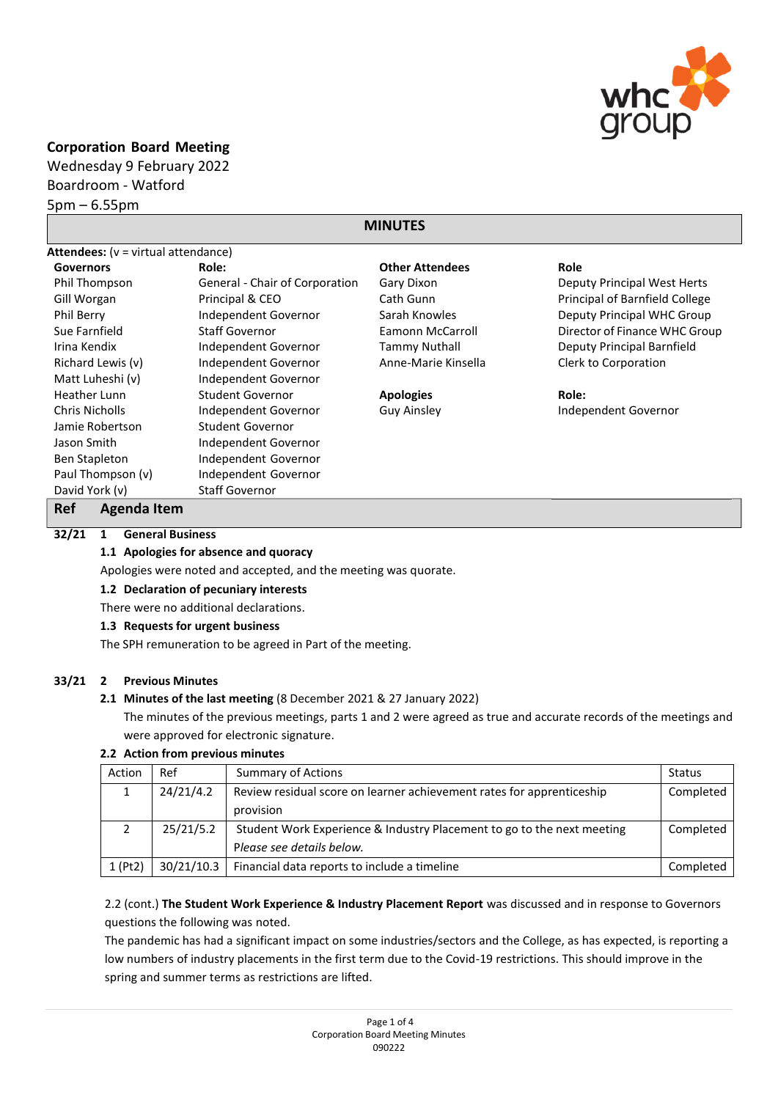

## **Corporation Board Meeting**

Wednesday 9 February 2022 Boardroom - Watford 5pm – 6.55pm

# **MINUTES**

| <b>Attendees:</b> $(v = virtual$ attendance) |                                |                        |                                |  |  |
|----------------------------------------------|--------------------------------|------------------------|--------------------------------|--|--|
| <b>Governors</b>                             | Role:                          | <b>Other Attendees</b> | Role                           |  |  |
| Phil Thompson                                | General - Chair of Corporation | Gary Dixon             | Deputy Principal West Herts    |  |  |
| Gill Worgan                                  | Principal & CEO                | Cath Gunn              | Principal of Barnfield College |  |  |
| Phil Berry                                   | Independent Governor           | Sarah Knowles          | Deputy Principal WHC Group     |  |  |
| Sue Farnfield                                | <b>Staff Governor</b>          | Eamonn McCarroll       | Director of Finance WHC Group  |  |  |
| Irina Kendix                                 | Independent Governor           | <b>Tammy Nuthall</b>   | Deputy Principal Barnfield     |  |  |
| Richard Lewis (v)                            | Independent Governor           | Anne-Marie Kinsella    | Clerk to Corporation           |  |  |
| Matt Luheshi (v)                             | Independent Governor           |                        |                                |  |  |
| Heather Lunn                                 | Student Governor               | <b>Apologies</b>       | Role:                          |  |  |
| <b>Chris Nicholls</b>                        | Independent Governor           | <b>Guy Ainsley</b>     | Independent Governor           |  |  |
| Jamie Robertson                              | Student Governor               |                        |                                |  |  |
| Jason Smith                                  | Independent Governor           |                        |                                |  |  |
| Ben Stapleton                                | Independent Governor           |                        |                                |  |  |
| Paul Thompson (v)                            | Independent Governor           |                        |                                |  |  |
| David York (v)                               | <b>Staff Governor</b>          |                        |                                |  |  |

## **Ref Agenda Item**

## **32/21 1 General Business**

**1.1 Apologies for absence and quoracy**

Apologies were noted and accepted, and the meeting was quorate.

## **1.2 Declaration of pecuniary interests**

There were no additional declarations.

#### **1.3 Requests for urgent business**

The SPH remuneration to be agreed in Part of the meeting.

## **33/21 2 Previous Minutes**

## **2.1 Minutes of the last meeting** (8 December 2021 & 27 January 2022)

The minutes of the previous meetings, parts 1 and 2 were agreed as true and accurate records of the meetings and were approved for electronic signature.

#### **2.2 Action from previous minutes**

| Action  | Ref        | <b>Summary of Actions</b>                                              | Status    |
|---------|------------|------------------------------------------------------------------------|-----------|
|         | 24/21/4.2  | Review residual score on learner achievement rates for apprenticeship  |           |
|         |            | provision                                                              |           |
|         | 25/21/5.2  | Student Work Experience & Industry Placement to go to the next meeting |           |
|         |            | Please see details below.                                              |           |
| 1 (Pt2) | 30/21/10.3 | Financial data reports to include a timeline                           | Completed |

2.2 (cont.) **The Student Work Experience & Industry Placement Report** was discussed and in response to Governors questions the following was noted.

The pandemic has had a significant impact on some industries/sectors and the College, as has expected, is reporting a low numbers of industry placements in the first term due to the Covid-19 restrictions. This should improve in the spring and summer terms as restrictions are lifted.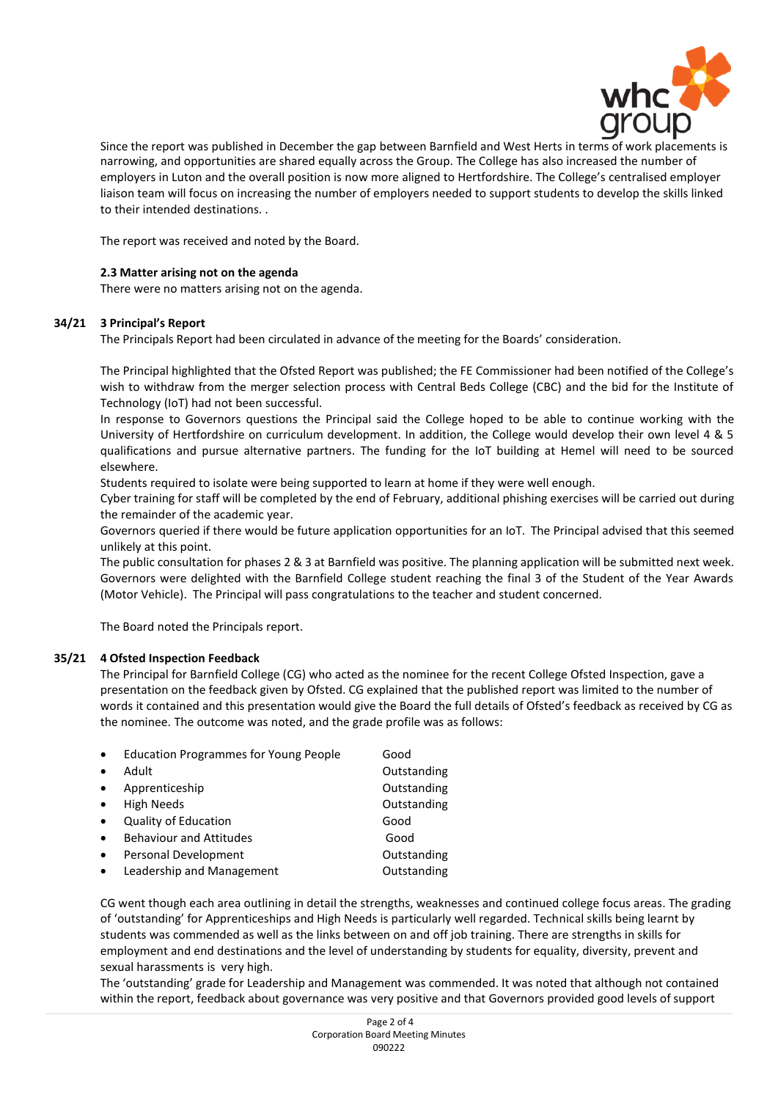

Since the report was published in December the gap between Barnfield and West Herts in terms of work placements is narrowing, and opportunities are shared equally across the Group. The College has also increased the number of employers in Luton and the overall position is now more aligned to Hertfordshire. The College's centralised employer liaison team will focus on increasing the number of employers needed to support students to develop the skills linked to their intended destinations. .

The report was received and noted by the Board.

## **2.3 Matter arising not on the agenda**

There were no matters arising not on the agenda.

#### **34/21 3 Principal's Report**

The Principals Report had been circulated in advance of the meeting for the Boards' consideration.

The Principal highlighted that the Ofsted Report was published; the FE Commissioner had been notified of the College's wish to withdraw from the merger selection process with Central Beds College (CBC) and the bid for the Institute of Technology (IoT) had not been successful.

In response to Governors questions the Principal said the College hoped to be able to continue working with the University of Hertfordshire on curriculum development. In addition, the College would develop their own level 4 & 5 qualifications and pursue alternative partners. The funding for the IoT building at Hemel will need to be sourced elsewhere.

Students required to isolate were being supported to learn at home if they were well enough.

Cyber training for staff will be completed by the end of February, additional phishing exercises will be carried out during the remainder of the academic year.

Governors queried if there would be future application opportunities for an IoT. The Principal advised that this seemed unlikely at this point.

The public consultation for phases 2 & 3 at Barnfield was positive. The planning application will be submitted next week. Governors were delighted with the Barnfield College student reaching the final 3 of the Student of the Year Awards (Motor Vehicle). The Principal will pass congratulations to the teacher and student concerned.

The Board noted the Principals report.

## **35/21 4 Ofsted Inspection Feedback**

The Principal for Barnfield College (CG) who acted as the nominee for the recent College Ofsted Inspection, gave a presentation on the feedback given by Ofsted. CG explained that the published report was limited to the number of words it contained and this presentation would give the Board the full details of Ofsted's feedback as received by CG as the nominee. The outcome was noted, and the grade profile was as follows:

| $\bullet$ | <b>Education Programmes for Young People</b> | Good        |
|-----------|----------------------------------------------|-------------|
| $\bullet$ | Adult                                        | Outstanding |
| $\bullet$ | Apprenticeship                               | Outstanding |
| $\bullet$ | <b>High Needs</b>                            | Outstanding |
| $\bullet$ | Quality of Education                         | Good        |
| $\bullet$ | <b>Behaviour and Attitudes</b>               | Good        |
| $\bullet$ | Personal Development                         | Outstanding |
| $\bullet$ | Leadership and Management                    | Outstanding |

CG went though each area outlining in detail the strengths, weaknesses and continued college focus areas. The grading of 'outstanding' for Apprenticeships and High Needs is particularly well regarded. Technical skills being learnt by students was commended as well as the links between on and off job training. There are strengths in skills for employment and end destinations and the level of understanding by students for equality, diversity, prevent and sexual harassments is very high.

The 'outstanding' grade for Leadership and Management was commended. It was noted that although not contained within the report, feedback about governance was very positive and that Governors provided good levels of support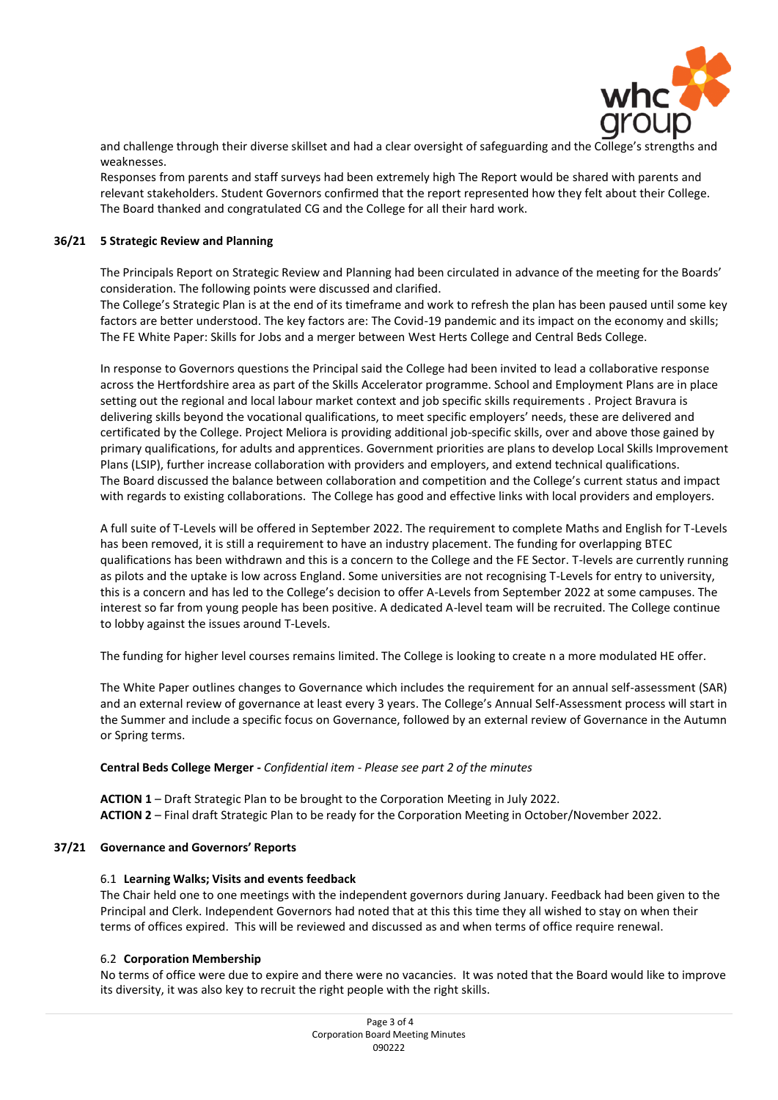

and challenge through their diverse skillset and had a clear oversight of safeguarding and the College's strengths and weaknesses.

Responses from parents and staff surveys had been extremely high The Report would be shared with parents and relevant stakeholders. Student Governors confirmed that the report represented how they felt about their College. The Board thanked and congratulated CG and the College for all their hard work.

#### **36/21 5 Strategic Review and Planning**

The Principals Report on Strategic Review and Planning had been circulated in advance of the meeting for the Boards' consideration. The following points were discussed and clarified.

The College's Strategic Plan is at the end of its timeframe and work to refresh the plan has been paused until some key factors are better understood. The key factors are: The Covid-19 pandemic and its impact on the economy and skills; The FE White Paper: Skills for Jobs and a merger between West Herts College and Central Beds College.

In response to Governors questions the Principal said the College had been invited to lead a collaborative response across the Hertfordshire area as part of the Skills Accelerator programme. School and Employment Plans are in place setting out the regional and local labour market context and job specific skills requirements . Project Bravura is delivering skills beyond the vocational qualifications, to meet specific employers' needs, these are delivered and certificated by the College. Project Meliora is providing additional job-specific skills, over and above those gained by primary qualifications, for adults and apprentices. Government priorities are plans to develop Local Skills Improvement Plans (LSIP), further increase collaboration with providers and employers, and extend technical qualifications. The Board discussed the balance between collaboration and competition and the College's current status and impact with regards to existing collaborations. The College has good and effective links with local providers and employers.

A full suite of T-Levels will be offered in September 2022. The requirement to complete Maths and English for T-Levels has been removed, it is still a requirement to have an industry placement. The funding for overlapping BTEC qualifications has been withdrawn and this is a concern to the College and the FE Sector. T-levels are currently running as pilots and the uptake is low across England. Some universities are not recognising T-Levels for entry to university, this is a concern and has led to the College's decision to offer A-Levels from September 2022 at some campuses. The interest so far from young people has been positive. A dedicated A-level team will be recruited. The College continue to lobby against the issues around T-Levels.

The funding for higher level courses remains limited. The College is looking to create n a more modulated HE offer.

The White Paper outlines changes to Governance which includes the requirement for an annual self-assessment (SAR) and an external review of governance at least every 3 years. The College's Annual Self-Assessment process will start in the Summer and include a specific focus on Governance, followed by an external review of Governance in the Autumn or Spring terms.

#### **Central Beds College Merger -** *Confidential item - Please see part 2 of the minutes*

**ACTION 1** – Draft Strategic Plan to be brought to the Corporation Meeting in July 2022. **ACTION 2** – Final draft Strategic Plan to be ready for the Corporation Meeting in October/November 2022.

#### **37/21 Governance and Governors' Reports**

#### 6.1 **Learning Walks; Visits and events feedback**

The Chair held one to one meetings with the independent governors during January. Feedback had been given to the Principal and Clerk. Independent Governors had noted that at this this time they all wished to stay on when their terms of offices expired. This will be reviewed and discussed as and when terms of office require renewal.

#### 6.2 **Corporation Membership**

No terms of office were due to expire and there were no vacancies. It was noted that the Board would like to improve its diversity, it was also key to recruit the right people with the right skills.